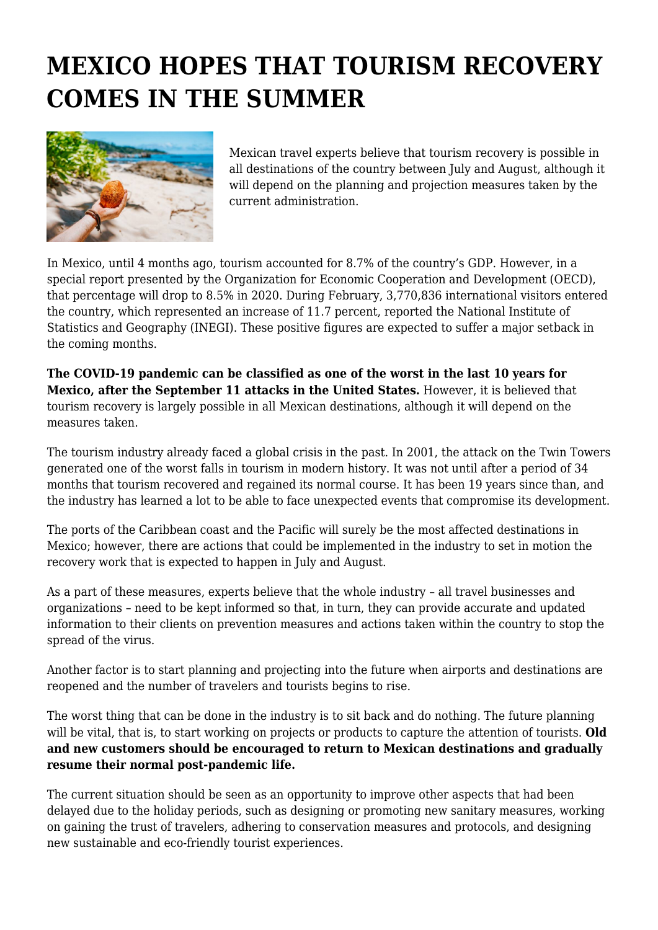## **MEXICO HOPES THAT TOURISM RECOVERY COMES IN THE SUMMER**



Mexican travel experts believe that tourism recovery is possible in all destinations of the country between July and August, although it will depend on the planning and projection measures taken by the current administration.

In Mexico, until 4 months ago, tourism accounted for 8.7% of the country's GDP. However, in a special report presented by the Organization for Economic Cooperation and Development (OECD), that percentage will drop to 8.5% in 2020. During February, 3,770,836 international visitors entered the country, which represented an increase of 11.7 percent, reported the National Institute of Statistics and Geography (INEGI). These positive figures are expected to suffer a major setback in the coming months.

**The COVID-19 pandemic can be classified as one of the worst in the last 10 years for Mexico, after the September 11 attacks in the United States.** However, it is believed that tourism recovery is largely possible in all Mexican destinations, although it will depend on the measures taken.

The tourism industry already faced a global crisis in the past. In 2001, the attack on the Twin Towers generated one of the worst falls in tourism in modern history. It was not until after a period of 34 months that tourism recovered and regained its normal course. It has been 19 years since than, and the industry has learned a lot to be able to face unexpected events that compromise its development.

The ports of the Caribbean coast and the Pacific will surely be the most affected destinations in Mexico; however, there are actions that could be implemented in the industry to set in motion the recovery work that is expected to happen in July and August.

As a part of these measures, experts believe that the whole industry – all travel businesses and organizations – need to be kept informed so that, in turn, they can provide accurate and updated information to their clients on prevention measures and actions taken within the country to stop the spread of the virus.

Another factor is to start planning and projecting into the future when airports and destinations are reopened and the number of travelers and tourists begins to rise.

The worst thing that can be done in the industry is to sit back and do nothing. The future planning will be vital, that is, to start working on projects or products to capture the attention of tourists. **Old and new customers should be encouraged to return to Mexican destinations and gradually resume their normal post-pandemic life.**

The current situation should be seen as an opportunity to improve other aspects that had been delayed due to the holiday periods, such as designing or promoting new sanitary measures, working on gaining the trust of travelers, adhering to conservation measures and protocols, and designing new sustainable and eco-friendly tourist experiences.